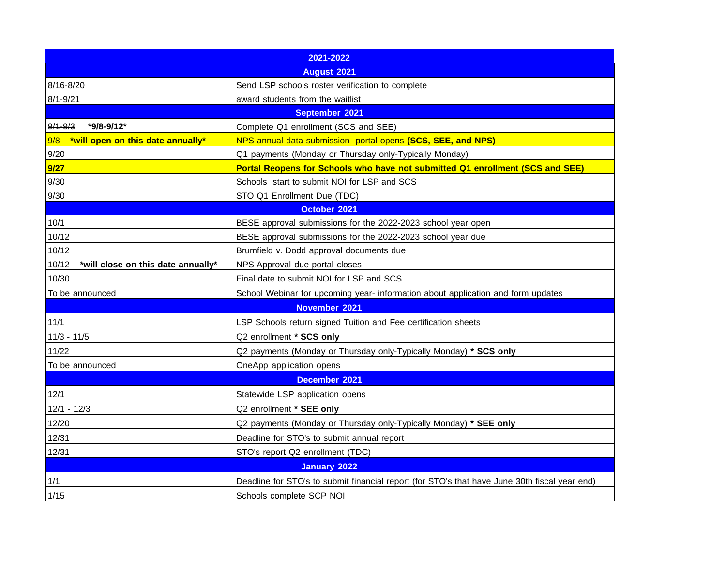| 2021-2022                                   |                                                                                               |
|---------------------------------------------|-----------------------------------------------------------------------------------------------|
| <b>August 2021</b>                          |                                                                                               |
| 8/16-8/20                                   | Send LSP schools roster verification to complete                                              |
| $8/1 - 9/21$                                | award students from the waitlist                                                              |
| September 2021                              |                                                                                               |
| $9/1 - 9/3$<br>*9/8-9/12*                   | Complete Q1 enrollment (SCS and SEE)                                                          |
| 9/8<br>*will open on this date annually*    | NPS annual data submission- portal opens (SCS, SEE, and NPS)                                  |
| 9/20                                        | Q1 payments (Monday or Thursday only-Typically Monday)                                        |
| 9/27                                        | Portal Reopens for Schools who have not submitted Q1 enrollment (SCS and SEE)                 |
| 9/30                                        | Schools start to submit NOI for LSP and SCS                                                   |
| 9/30                                        | STO Q1 Enrollment Due (TDC)                                                                   |
| October 2021                                |                                                                                               |
| 10/1                                        | BESE approval submissions for the 2022-2023 school year open                                  |
| 10/12                                       | BESE approval submissions for the 2022-2023 school year due                                   |
| 10/12                                       | Brumfield v. Dodd approval documents due                                                      |
| 10/12<br>*will close on this date annually* | NPS Approval due-portal closes                                                                |
| 10/30                                       | Final date to submit NOI for LSP and SCS                                                      |
| To be announced                             | School Webinar for upcoming year- information about application and form updates              |
| November 2021                               |                                                                                               |
| 11/1                                        | LSP Schools return signed Tuition and Fee certification sheets                                |
| $11/3 - 11/5$                               | Q2 enrollment * SCS only                                                                      |
| 11/22                                       | Q2 payments (Monday or Thursday only-Typically Monday) * SCS only                             |
| To be announced                             | OneApp application opens                                                                      |
| December 2021                               |                                                                                               |
| 12/1                                        | Statewide LSP application opens                                                               |
| $12/1 - 12/3$                               | Q2 enrollment * SEE only                                                                      |
| 12/20                                       | Q2 payments (Monday or Thursday only-Typically Monday) * SEE only                             |
| 12/31                                       | Deadline for STO's to submit annual report                                                    |
| 12/31                                       | STO's report Q2 enrollment (TDC)                                                              |
| <b>January 2022</b>                         |                                                                                               |
| 1/1                                         | Deadline for STO's to submit financial report (for STO's that have June 30th fiscal year end) |
| 1/15                                        | Schools complete SCP NOI                                                                      |